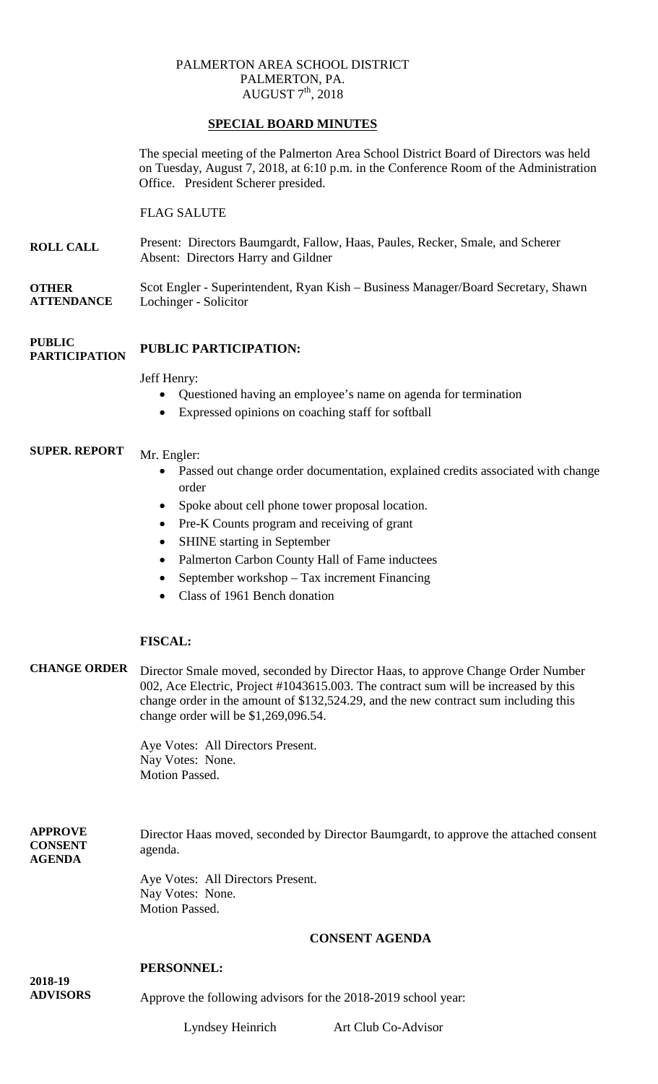# PALMERTON AREA SCHOOL DISTRICT PALMERTON, PA. AUGUST  $7<sup>th</sup>$ , 2018

# **SPECIAL BOARD MINUTES**

The special meeting of the Palmerton Area School District Board of Directors was held on Tuesday, August 7, 2018, at 6:10 p.m. in the Conference Room of the Administration Office. President Scherer presided.

# FLAG SALUTE

**ROLL CALL** Present: Directors Baumgardt, Fallow, Haas, Paules, Recker, Smale, and Scherer Absent: Directors Harry and Gildner

**OTHER ATTENDANCE** Scot Engler - Superintendent, Ryan Kish – Business Manager/Board Secretary, Shawn Lochinger - Solicitor

#### **PUBLIC PARTICIPATION PUBLIC PARTICIPATION:**

## Jeff Henry:

- Questioned having an employee's name on agenda for termination
- Expressed opinions on coaching staff for softball

### **SUPER. REPORT** Mr. Engler:

- Passed out change order documentation, explained credits associated with change order
- Spoke about cell phone tower proposal location.
- Pre-K Counts program and receiving of grant
- SHINE starting in September
- Palmerton Carbon County Hall of Fame inductees
- September workshop Tax increment Financing
- Class of 1961 Bench donation

# **FISCAL:**

**CHANGE ORDER** Director Smale moved, seconded by Director Haas, to approve Change Order Number 002, Ace Electric, Project #1043615.003. The contract sum will be increased by this change order in the amount of \$132,524.29, and the new contract sum including this change order will be \$1,269,096.54.

> Aye Votes: All Directors Present. Nay Votes: None. Motion Passed.

**APPROVE CONSENT AGENDA** Director Haas moved, seconded by Director Baumgardt, to approve the attached consent agenda.

> Aye Votes: All Directors Present. Nay Votes: None. Motion Passed.

## **CONSENT AGENDA**

## **PERSONNEL:**

**2018-19 ADVISORS**

Approve the following advisors for the 2018-2019 school year:

Lyndsey Heinrich Art Club Co-Advisor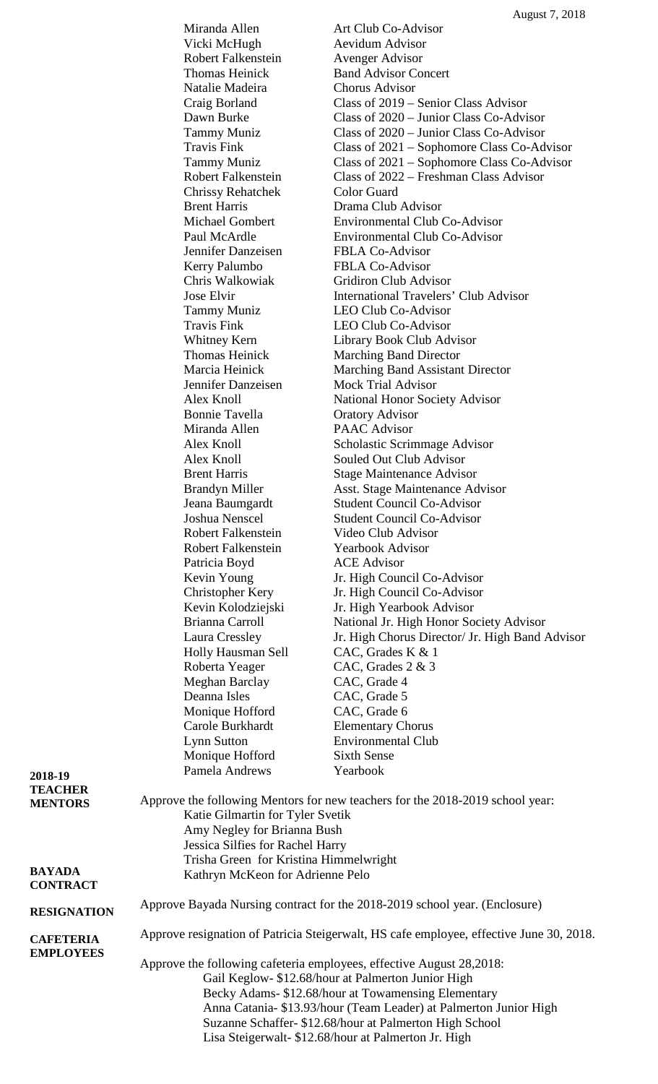|                    | Miranda Allen                                                                           | Art Club Co-Advisor                                               |  |  |
|--------------------|-----------------------------------------------------------------------------------------|-------------------------------------------------------------------|--|--|
|                    | Vicki McHugh                                                                            | <b>Aevidum Advisor</b>                                            |  |  |
|                    | Robert Falkenstein                                                                      | <b>Avenger Advisor</b>                                            |  |  |
|                    | Thomas Heinick                                                                          | <b>Band Advisor Concert</b>                                       |  |  |
|                    | Natalie Madeira                                                                         | <b>Chorus Advisor</b>                                             |  |  |
|                    | Craig Borland                                                                           | Class of 2019 – Senior Class Advisor                              |  |  |
|                    | Dawn Burke                                                                              | Class of $2020 -$ Junior Class Co-Advisor                         |  |  |
|                    | Tammy Muniz                                                                             | Class of 2020 – Junior Class Co-Advisor                           |  |  |
|                    | <b>Travis Fink</b>                                                                      | Class of 2021 – Sophomore Class Co-Advisor                        |  |  |
|                    | <b>Tammy Muniz</b>                                                                      | Class of 2021 – Sophomore Class Co-Advisor                        |  |  |
|                    | <b>Robert Falkenstein</b>                                                               | Class of 2022 – Freshman Class Advisor                            |  |  |
|                    | <b>Chrissy Rehatchek</b>                                                                | Color Guard                                                       |  |  |
|                    | <b>Brent Harris</b>                                                                     | Drama Club Advisor                                                |  |  |
|                    | <b>Michael Gombert</b>                                                                  | <b>Environmental Club Co-Advisor</b>                              |  |  |
|                    | Paul McArdle                                                                            | <b>Environmental Club Co-Advisor</b>                              |  |  |
|                    | Jennifer Danzeisen                                                                      | <b>FBLA Co-Advisor</b>                                            |  |  |
|                    | Kerry Palumbo                                                                           | <b>FBLA Co-Advisor</b>                                            |  |  |
|                    | Chris Walkowiak                                                                         | <b>Gridiron Club Advisor</b>                                      |  |  |
|                    | Jose Elvir                                                                              | <b>International Travelers' Club Advisor</b>                      |  |  |
|                    | <b>Tammy Muniz</b>                                                                      | <b>LEO Club Co-Advisor</b>                                        |  |  |
|                    | <b>Travis Fink</b>                                                                      | <b>LEO Club Co-Advisor</b>                                        |  |  |
|                    | Whitney Kern                                                                            | Library Book Club Advisor                                         |  |  |
|                    | Thomas Heinick                                                                          | <b>Marching Band Director</b>                                     |  |  |
|                    | Marcia Heinick                                                                          | Marching Band Assistant Director                                  |  |  |
|                    | Jennifer Danzeisen                                                                      | <b>Mock Trial Advisor</b>                                         |  |  |
|                    | Alex Knoll                                                                              | <b>National Honor Society Advisor</b>                             |  |  |
|                    | <b>Bonnie Tavella</b>                                                                   | <b>Oratory Advisor</b>                                            |  |  |
|                    | Miranda Allen                                                                           | <b>PAAC</b> Advisor                                               |  |  |
|                    | Alex Knoll                                                                              | Scholastic Scrimmage Advisor                                      |  |  |
|                    | Alex Knoll                                                                              | Souled Out Club Advisor                                           |  |  |
|                    | <b>Brent Harris</b>                                                                     | <b>Stage Maintenance Advisor</b>                                  |  |  |
|                    | <b>Brandyn Miller</b>                                                                   | Asst. Stage Maintenance Advisor                                   |  |  |
|                    | Jeana Baumgardt                                                                         | <b>Student Council Co-Advisor</b>                                 |  |  |
|                    | Joshua Nenscel                                                                          | <b>Student Council Co-Advisor</b>                                 |  |  |
|                    | <b>Robert Falkenstein</b>                                                               | Video Club Advisor                                                |  |  |
|                    | <b>Robert Falkenstein</b>                                                               | <b>Yearbook Advisor</b>                                           |  |  |
|                    | Patricia Boyd                                                                           | <b>ACE Advisor</b>                                                |  |  |
|                    | Kevin Young                                                                             | Jr. High Council Co-Advisor                                       |  |  |
|                    | Christopher Kery                                                                        | Jr. High Council Co-Advisor                                       |  |  |
|                    | Kevin Kolodziejski                                                                      | Jr. High Yearbook Advisor                                         |  |  |
|                    | Brianna Carroll                                                                         | National Jr. High Honor Society Advisor                           |  |  |
|                    | Laura Cressley                                                                          | Jr. High Chorus Director/ Jr. High Band Advisor                   |  |  |
|                    | Holly Hausman Sell                                                                      | CAC, Grades K $& 1$                                               |  |  |
|                    | Roberta Yeager                                                                          | CAC, Grades $2 \& 3$                                              |  |  |
|                    | Meghan Barclay                                                                          | CAC, Grade 4                                                      |  |  |
|                    | Deanna Isles                                                                            | CAC, Grade 5                                                      |  |  |
|                    | Monique Hofford                                                                         | CAC, Grade 6                                                      |  |  |
|                    | Carole Burkhardt                                                                        | <b>Elementary Chorus</b>                                          |  |  |
|                    | <b>Lynn Sutton</b>                                                                      | <b>Environmental Club</b>                                         |  |  |
|                    | Monique Hofford                                                                         | <b>Sixth Sense</b>                                                |  |  |
| 2018-19            | Pamela Andrews                                                                          | Yearbook                                                          |  |  |
| <b>TEACHER</b>     |                                                                                         |                                                                   |  |  |
| <b>MENTORS</b>     | Approve the following Mentors for new teachers for the 2018-2019 school year:           |                                                                   |  |  |
|                    | Katie Gilmartin for Tyler Svetik                                                        |                                                                   |  |  |
|                    | Amy Negley for Brianna Bush                                                             |                                                                   |  |  |
|                    | Jessica Silfies for Rachel Harry                                                        |                                                                   |  |  |
| <b>BAYADA</b>      | Trisha Green for Kristina Himmelwright                                                  |                                                                   |  |  |
| <b>CONTRACT</b>    | Kathryn McKeon for Adrienne Pelo                                                        |                                                                   |  |  |
|                    |                                                                                         |                                                                   |  |  |
| <b>RESIGNATION</b> | Approve Bayada Nursing contract for the 2018-2019 school year. (Enclosure)              |                                                                   |  |  |
| <b>CAFETERIA</b>   | Approve resignation of Patricia Steigerwalt, HS cafe employee, effective June 30, 2018. |                                                                   |  |  |
| <b>EMPLOYEES</b>   |                                                                                         |                                                                   |  |  |
|                    | Approve the following cafeteria employees, effective August 28,2018:                    |                                                                   |  |  |
|                    | Gail Keglow- \$12.68/hour at Palmerton Junior High                                      |                                                                   |  |  |
|                    | Becky Adams- \$12.68/hour at Towamensing Elementary                                     |                                                                   |  |  |
|                    |                                                                                         | Anna Catania- \$13.93/hour (Team Leader) at Palmerton Junior High |  |  |
|                    |                                                                                         | Suzanne Schaffer- \$12.68/hour at Palmerton High School           |  |  |
|                    |                                                                                         | Lisa Steigerwalt- \$12.68/hour at Palmerton Jr. High              |  |  |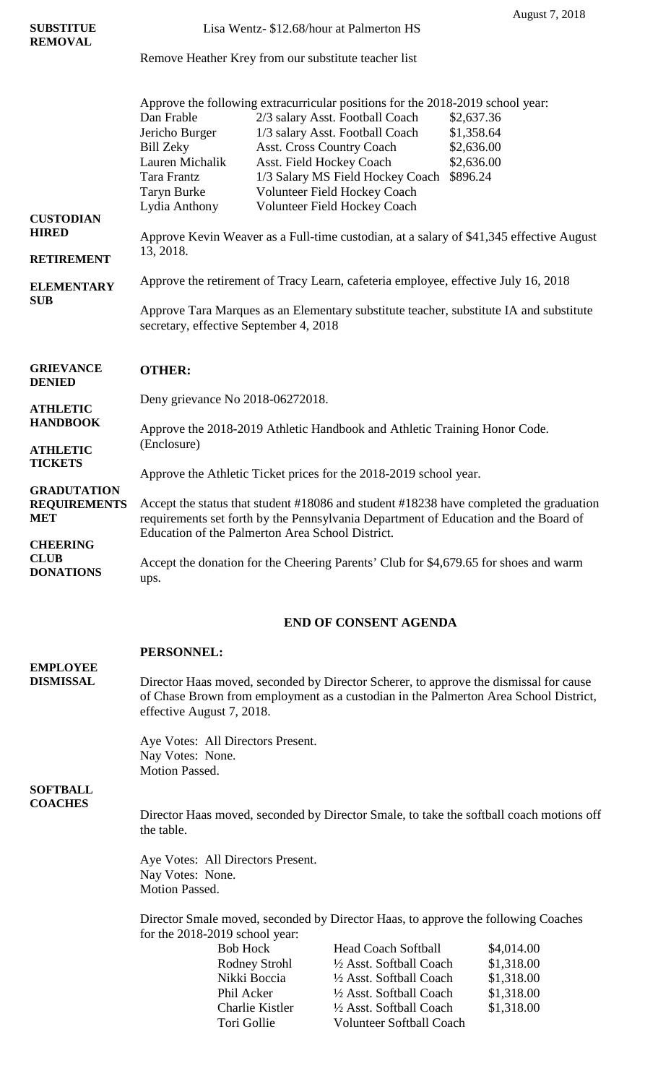|                                    |                                                                                         |                                           | August 7, 2018 |  |  |  |
|------------------------------------|-----------------------------------------------------------------------------------------|-------------------------------------------|----------------|--|--|--|
| <b>SUBSTITUE</b>                   | Lisa Wentz- \$12.68/hour at Palmerton HS                                                |                                           |                |  |  |  |
| <b>REMOVAL</b>                     | Remove Heather Krey from our substitute teacher list                                    |                                           |                |  |  |  |
|                                    |                                                                                         |                                           |                |  |  |  |
|                                    | Approve the following extracurricular positions for the 2018-2019 school year:          |                                           |                |  |  |  |
|                                    | Dan Frable                                                                              | 2/3 salary Asst. Football Coach           | \$2,637.36     |  |  |  |
|                                    | Jericho Burger                                                                          | 1/3 salary Asst. Football Coach           | \$1,358.64     |  |  |  |
|                                    | <b>Bill Zeky</b>                                                                        | Asst. Cross Country Coach                 | \$2,636.00     |  |  |  |
|                                    | Lauren Michalik                                                                         | Asst. Field Hockey Coach                  | \$2,636.00     |  |  |  |
|                                    | Tara Frantz                                                                             | 1/3 Salary MS Field Hockey Coach \$896.24 |                |  |  |  |
|                                    | <b>Taryn Burke</b>                                                                      | Volunteer Field Hockey Coach              |                |  |  |  |
| <b>CUSTODIAN</b>                   | Lydia Anthony                                                                           | Volunteer Field Hockey Coach              |                |  |  |  |
| <b>HIRED</b>                       | Approve Kevin Weaver as a Full-time custodian, at a salary of \$41,345 effective August |                                           |                |  |  |  |
|                                    | 13, 2018.                                                                               |                                           |                |  |  |  |
| <b>RETIREMENT</b>                  |                                                                                         |                                           |                |  |  |  |
| <b>ELEMENTARY</b>                  | Approve the retirement of Tracy Learn, cafeteria employee, effective July 16, 2018      |                                           |                |  |  |  |
| <b>SUB</b>                         | Approve Tara Marques as an Elementary substitute teacher, substitute IA and substitute  |                                           |                |  |  |  |
|                                    | secretary, effective September 4, 2018                                                  |                                           |                |  |  |  |
| <b>GRIEVANCE</b>                   |                                                                                         |                                           |                |  |  |  |
| <b>DENIED</b>                      | <b>OTHER:</b>                                                                           |                                           |                |  |  |  |
|                                    | Deny grievance No 2018-06272018.                                                        |                                           |                |  |  |  |
| <b>ATHLETIC</b><br><b>HANDBOOK</b> |                                                                                         |                                           |                |  |  |  |
|                                    | Approve the 2018-2019 Athletic Handbook and Athletic Training Honor Code.               |                                           |                |  |  |  |
| <b>ATHLETIC</b>                    | (Enclosure)                                                                             |                                           |                |  |  |  |
| <b>TICKETS</b>                     | Approve the Athletic Ticket prices for the 2018-2019 school year.                       |                                           |                |  |  |  |
| <b>GRADUTATION</b>                 | A coant the status that student #19096 and student #19229 have completed the graduation |                                           |                |  |  |  |

**REQUIREMENTS MET CHEERING**  Accept the status that student #18086 and student #18238 have completed the graduation requirements set forth by the Pennsylvania Department of Education and the Board of Education of the Palmerton Area School District.

**CLUB DONATIONS** Accept the donation for the Cheering Parents' Club for \$4,679.65 for shoes and warm ups.

# **END OF CONSENT AGENDA**

|                                                                                                                         | <b>PERSONNEL:</b>                                                                                                                                                                                          |                                   |                                 |            |  |
|-------------------------------------------------------------------------------------------------------------------------|------------------------------------------------------------------------------------------------------------------------------------------------------------------------------------------------------------|-----------------------------------|---------------------------------|------------|--|
| <b>EMPLOYEE</b><br><b>DISMISSAL</b>                                                                                     | Director Haas moved, seconded by Director Scherer, to approve the dismissal for cause<br>of Chase Brown from employment as a custodian in the Palmerton Area School District,<br>effective August 7, 2018. |                                   |                                 |            |  |
|                                                                                                                         | Nay Votes: None.<br><b>Motion Passed.</b>                                                                                                                                                                  | Aye Votes: All Directors Present. |                                 |            |  |
| <b>SOFTBALL</b>                                                                                                         |                                                                                                                                                                                                            |                                   |                                 |            |  |
| <b>COACHES</b><br>Director Haas moved, seconded by Director Smale, to take the softball coach motions off<br>the table. |                                                                                                                                                                                                            |                                   |                                 |            |  |
|                                                                                                                         |                                                                                                                                                                                                            | Aye Votes: All Directors Present. |                                 |            |  |
|                                                                                                                         | Nay Votes: None.                                                                                                                                                                                           |                                   |                                 |            |  |
|                                                                                                                         | Motion Passed.                                                                                                                                                                                             |                                   |                                 |            |  |
|                                                                                                                         |                                                                                                                                                                                                            |                                   |                                 |            |  |
|                                                                                                                         | Director Smale moved, seconded by Director Haas, to approve the following Coaches                                                                                                                          |                                   |                                 |            |  |
|                                                                                                                         |                                                                                                                                                                                                            | for the 2018-2019 school year:    |                                 |            |  |
|                                                                                                                         |                                                                                                                                                                                                            | <b>Bob Hock</b>                   | <b>Head Coach Softball</b>      | \$4,014.00 |  |
|                                                                                                                         |                                                                                                                                                                                                            | Rodney Strohl                     | 1/2 Asst. Softball Coach        | \$1,318.00 |  |
|                                                                                                                         |                                                                                                                                                                                                            | Nikki Boccia                      | 1/2 Asst. Softball Coach        | \$1,318.00 |  |
|                                                                                                                         |                                                                                                                                                                                                            | Phil Acker                        | 1/2 Asst. Softball Coach        | \$1,318.00 |  |
|                                                                                                                         |                                                                                                                                                                                                            | Charlie Kistler                   | 1/2 Asst. Softball Coach        | \$1,318.00 |  |
|                                                                                                                         |                                                                                                                                                                                                            | Tori Gollie                       | <b>Volunteer Softball Coach</b> |            |  |
|                                                                                                                         |                                                                                                                                                                                                            |                                   |                                 |            |  |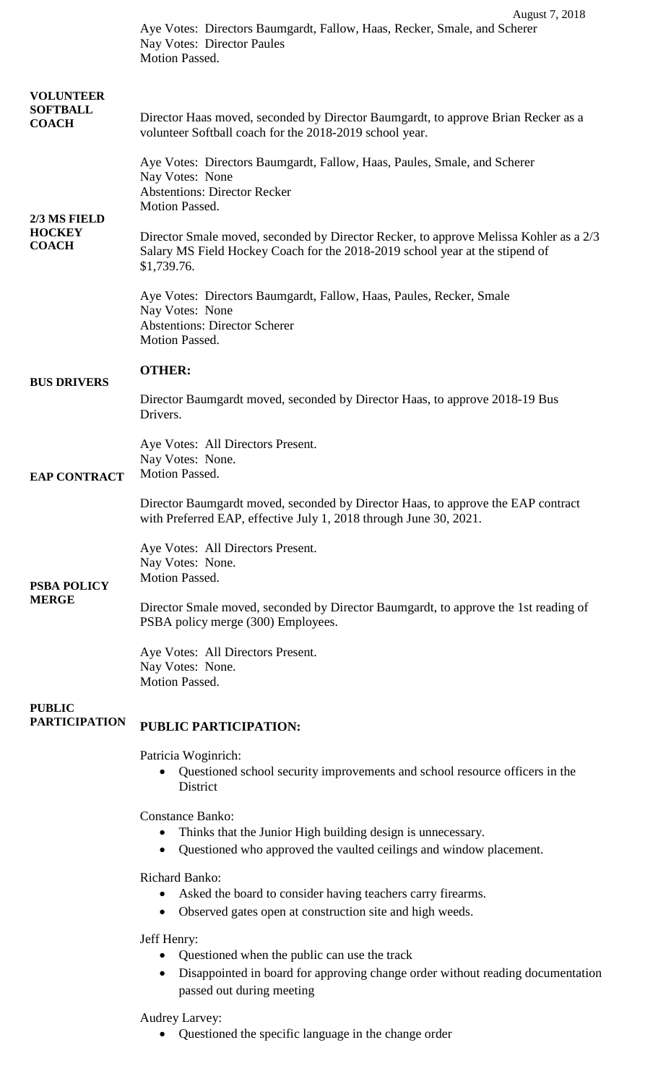|                                               | Aye Votes: Directors Baumgardt, Fallow, Haas, Recker, Smale, and Scherer<br>Nay Votes: Director Paules<br>Motion Passed.                                                               |
|-----------------------------------------------|----------------------------------------------------------------------------------------------------------------------------------------------------------------------------------------|
| <b>VOLUNTEER</b>                              |                                                                                                                                                                                        |
| <b>SOFTBALL</b><br><b>COACH</b>               | Director Haas moved, seconded by Director Baumgardt, to approve Brian Recker as a<br>volunteer Softball coach for the 2018-2019 school year.                                           |
| 2/3 MS FIELD<br><b>HOCKEY</b><br><b>COACH</b> | Aye Votes: Directors Baumgardt, Fallow, Haas, Paules, Smale, and Scherer<br>Nay Votes: None<br><b>Abstentions: Director Recker</b><br>Motion Passed.                                   |
|                                               | Director Smale moved, seconded by Director Recker, to approve Melissa Kohler as a 2/3<br>Salary MS Field Hockey Coach for the 2018-2019 school year at the stipend of<br>\$1,739.76.   |
|                                               | Aye Votes: Directors Baumgardt, Fallow, Haas, Paules, Recker, Smale<br>Nay Votes: None<br><b>Abstentions: Director Scherer</b><br>Motion Passed.                                       |
|                                               | <b>OTHER:</b>                                                                                                                                                                          |
| <b>BUS DRIVERS</b>                            | Director Baumgardt moved, seconded by Director Haas, to approve 2018-19 Bus<br>Drivers.                                                                                                |
|                                               |                                                                                                                                                                                        |
| <b>EAP CONTRACT</b>                           | Aye Votes: All Directors Present.<br>Nay Votes: None.<br>Motion Passed.                                                                                                                |
|                                               | Director Baumgardt moved, seconded by Director Haas, to approve the EAP contract<br>with Preferred EAP, effective July 1, 2018 through June 30, 2021.                                  |
| <b>PSBA POLICY</b><br><b>MERGE</b>            | Aye Votes: All Directors Present.<br>Nay Votes: None.<br>Motion Passed.                                                                                                                |
|                                               | Director Smale moved, seconded by Director Baumgardt, to approve the 1st reading of<br>PSBA policy merge (300) Employees.                                                              |
|                                               | Aye Votes: All Directors Present.<br>Nay Votes: None.<br>Motion Passed.                                                                                                                |
|                                               |                                                                                                                                                                                        |
| <b>PUBLIC</b><br><b>PARTICIPATION</b>         | PUBLIC PARTICIPATION:                                                                                                                                                                  |
|                                               | Patricia Woginrich:<br>Questioned school security improvements and school resource officers in the<br>District                                                                         |
|                                               | <b>Constance Banko:</b><br>Thinks that the Junior High building design is unnecessary.<br>$\bullet$<br>Questioned who approved the vaulted ceilings and window placement.<br>$\bullet$ |
|                                               | <b>Richard Banko:</b><br>Asked the board to consider having teachers carry firearms.<br>$\bullet$<br>Observed gates open at construction site and high weeds.<br>$\bullet$             |
|                                               | Jeff Henry:<br>Questioned when the public can use the track<br>Disappointed in board for approving change order without reading documentation<br>passed out during meeting             |
|                                               | Audrey Larvey:                                                                                                                                                                         |

• Questioned the specific language in the change order